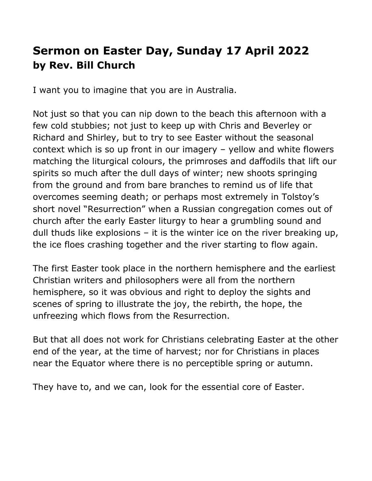## **Sermon on Easter Day, Sunday 17 April 2022 by Rev. Bill Church**

I want you to imagine that you are in Australia.

Not just so that you can nip down to the beach this afternoon with a few cold stubbies; not just to keep up with Chris and Beverley or Richard and Shirley, but to try to see Easter without the seasonal context which is so up front in our imagery – yellow and white flowers matching the liturgical colours, the primroses and daffodils that lift our spirits so much after the dull days of winter; new shoots springing from the ground and from bare branches to remind us of life that overcomes seeming death; or perhaps most extremely in Tolstoy's short novel "Resurrection" when a Russian congregation comes out of church after the early Easter liturgy to hear a grumbling sound and dull thuds like explosions – it is the winter ice on the river breaking up, the ice floes crashing together and the river starting to flow again.

The first Easter took place in the northern hemisphere and the earliest Christian writers and philosophers were all from the northern hemisphere, so it was obvious and right to deploy the sights and scenes of spring to illustrate the joy, the rebirth, the hope, the unfreezing which flows from the Resurrection.

But that all does not work for Christians celebrating Easter at the other end of the year, at the time of harvest; nor for Christians in places near the Equator where there is no perceptible spring or autumn.

They have to, and we can, look for the essential core of Easter.